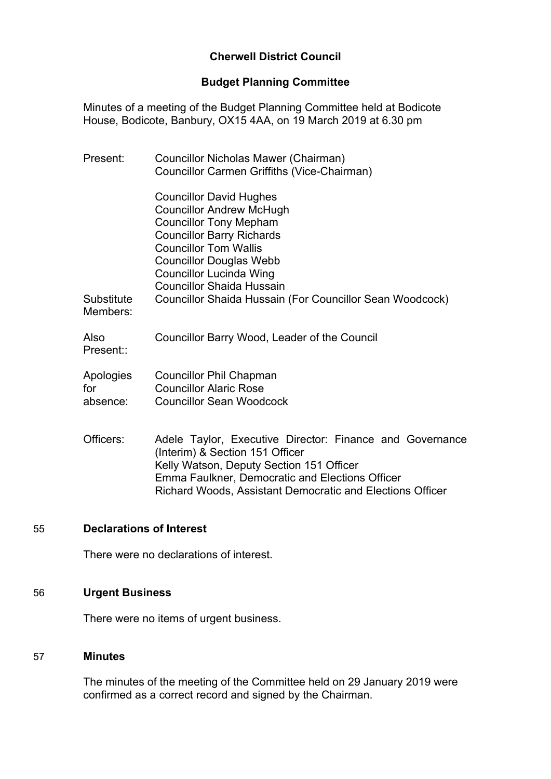# **Cherwell District Council**

# **Budget Planning Committee**

Minutes of a meeting of the Budget Planning Committee held at Bodicote House, Bodicote, Banbury, OX15 4AA, on 19 March 2019 at 6.30 pm

| Present:                     | Councillor Nicholas Mawer (Chairman)<br>Councillor Carmen Griffiths (Vice-Chairman)                                                                                                                                                                                                                                                 |
|------------------------------|-------------------------------------------------------------------------------------------------------------------------------------------------------------------------------------------------------------------------------------------------------------------------------------------------------------------------------------|
| Substitute<br>Members:       | <b>Councillor David Hughes</b><br><b>Councillor Andrew McHugh</b><br><b>Councillor Tony Mepham</b><br><b>Councillor Barry Richards</b><br><b>Councillor Tom Wallis</b><br><b>Councillor Douglas Webb</b><br>Councillor Lucinda Wing<br><b>Councillor Shaida Hussain</b><br>Councillor Shaida Hussain (For Councillor Sean Woodcock) |
| Also<br>Present::            | Councillor Barry Wood, Leader of the Council                                                                                                                                                                                                                                                                                        |
| Apologies<br>for<br>absence: | <b>Councillor Phil Chapman</b><br><b>Councillor Alaric Rose</b><br><b>Councillor Sean Woodcock</b>                                                                                                                                                                                                                                  |
| Officers:                    | Adele Taylor, Executive Director: Finance and Governance<br>(Interim) & Section 151 Officer<br>Kelly Watson, Deputy Section 151 Officer<br>Emma Faulkner, Democratic and Elections Officer<br>Richard Woods, Assistant Democratic and Elections Officer                                                                             |

### 55 **Declarations of Interest**

There were no declarations of interest.

# 56 **Urgent Business**

There were no items of urgent business.

#### 57 **Minutes**

The minutes of the meeting of the Committee held on 29 January 2019 were confirmed as a correct record and signed by the Chairman.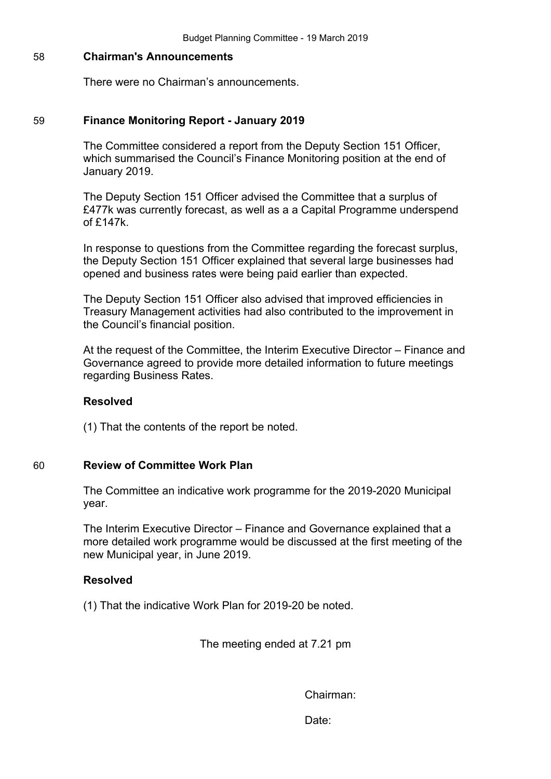### 58 **Chairman's Announcements**

There were no Chairman's announcements.

### 59 **Finance Monitoring Report - January 2019**

The Committee considered a report from the Deputy Section 151 Officer, which summarised the Council's Finance Monitoring position at the end of January 2019.

The Deputy Section 151 Officer advised the Committee that a surplus of £477k was currently forecast, as well as a a Capital Programme underspend of £147k.

In response to questions from the Committee regarding the forecast surplus, the Deputy Section 151 Officer explained that several large businesses had opened and business rates were being paid earlier than expected.

The Deputy Section 151 Officer also advised that improved efficiencies in Treasury Management activities had also contributed to the improvement in the Council's financial position.

At the request of the Committee, the Interim Executive Director – Finance and Governance agreed to provide more detailed information to future meetings regarding Business Rates.

### **Resolved**

(1) That the contents of the report be noted.

## 60 **Review of Committee Work Plan**

The Committee an indicative work programme for the 2019-2020 Municipal year.

The Interim Executive Director – Finance and Governance explained that a more detailed work programme would be discussed at the first meeting of the new Municipal year, in June 2019.

#### **Resolved**

(1) That the indicative Work Plan for 2019-20 be noted.

The meeting ended at 7.21 pm

Chairman:

Date: